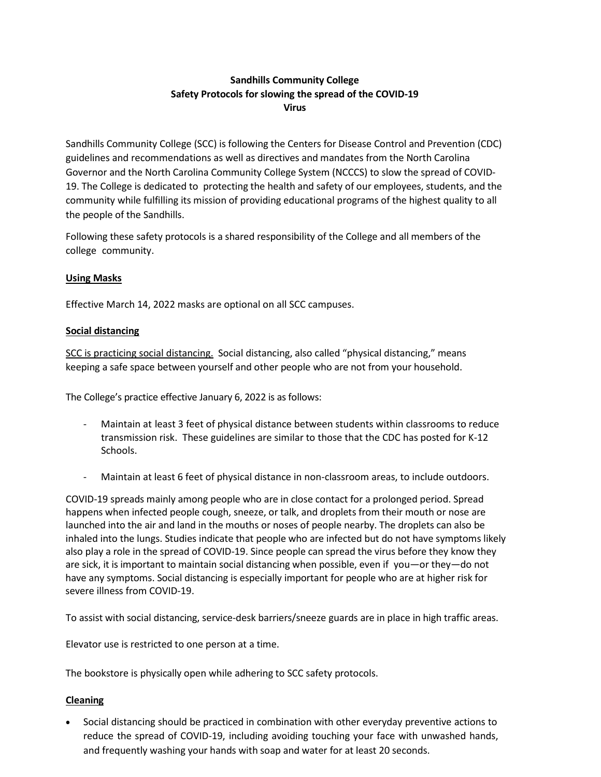# **Sandhills Community College Safety Protocols for slowing the spread of the COVID-19 Virus**

Sandhills Community College (SCC) is following the Centers for Disease Control and Prevention (CDC) guidelines and recommendations as well as directives and mandates from the North Carolina Governor and the North Carolina Community College System (NCCCS) to slow the spread of COVID-19. The College is dedicated to protecting the health and safety of our employees, students, and the community while fulfilling its mission of providing educational programs of the highest quality to all the people of the Sandhills.

Following these safety protocols is a shared responsibility of the College and all members of the college community.

## **Using Masks**

Effective March 14, 2022 masks are optional on all SCC campuses.

## **Social distancing**

SCC is practicing social distancing. Social distancing, also called "physical distancing," means keeping a safe space between yourself and other people who are not from your household.

The College's practice effective January 6, 2022 is as follows:

- Maintain at least 3 feet of physical distance between students within classrooms to reduce transmission risk. These guidelines are similar to those that the CDC has posted for K-12 Schools.
- Maintain at least 6 feet of physical distance in non-classroom areas, to include outdoors.

COVID-19 spreads mainly among people who are in close contact for a prolonged period. Spread happens when infected people cough, sneeze, or talk, and droplets from their mouth or nose are launched into the air and land in the mouths or noses of people nearby. The droplets can also be inhaled into the lungs. Studies indicate that people who are infected but do not have symptoms likely also play a role in the spread of COVID-19. Since people can spread the virus before they know they are sick, it is important to maintain social distancing when possible, even if you—or they—do not have any symptoms. Social distancing is especially important f[or people](https://www.cdc.gov/coronavirus/2019-ncov/need-extra-precautions/people-at-higher-risk.html) who are at [higher](https://www.cdc.gov/coronavirus/2019-ncov/need-extra-precautions/people-at-higher-risk.html) risk for severe illness from COVID-19.

To assist with social distancing, service-desk barriers/sneeze guards are in place in high traffic areas.

Elevator use is restricted to one person at a time.

The bookstore is physically open while adhering to SCC safety protocols.

## **Cleaning**

• Social distancing should be practiced in combination with other everyday [preventive](https://www.cdc.gov/coronavirus/2019-ncov/prevent-getting-sick/prevention.html) actions to reduce the spread of COVID-19, including avoiding touching your face with unwashed hands, and frequently washing your hands with soap and water for at least 20 seconds.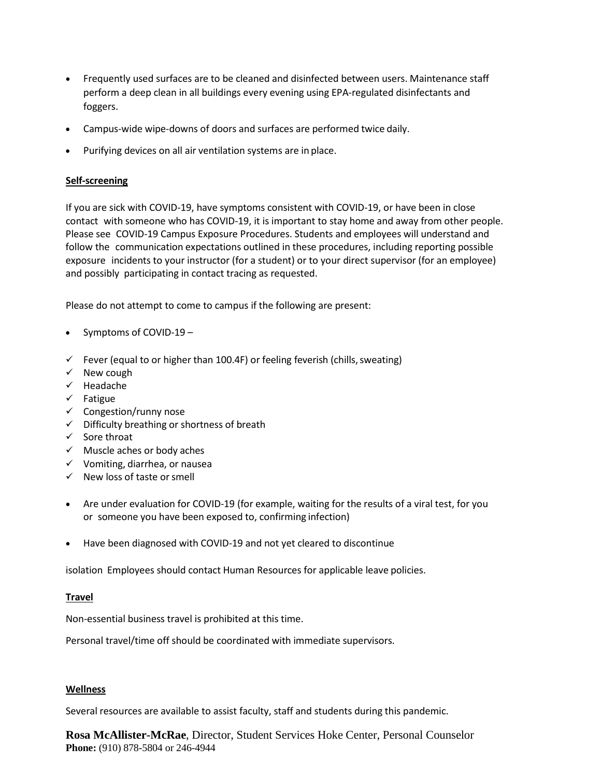- Frequently used surfaces are to be cleaned and disinfected between users. Maintenance staff perform a deep clean in all buildings every evening using EPA-regulated disinfectants and foggers.
- Campus-wide wipe-downs of doors and surfaces are performed twice daily.
- Purifying devices on all air ventilation systems are in place.

#### **Self-screening**

If you are sick with COVID-19, have [symptoms consistent with COVID-19,](https://www.cdc.gov/coronavirus/2019-ncov/symptoms-testing/symptoms.html) or have been in close contact with someone who has COVID-19, it is important to stay home and away from other people. Please see COVID-19 Campus Exposure Procedures. Students and employees will understand and follow the communication expectations outlined in these procedures, including reporting possible exposure incidents to your instructor (for a student) or to your direct supervisor (for an employee) and possibly participating in contact tracing as requested.

Please do not attempt to come to campus if the following are present:

- [Symptoms](https://www.cdc.gov/coronavirus/2019-ncov/symptoms-testing/symptoms.html?CDC_AA_refVal=https%3A%2F%2Fwww.cdc.gov%2Fcoronavirus%2F2019-ncov%2Fabout%2Fsymptoms.html) of COVID-19 –
- $\checkmark$  Fever (equal to or higher than 100.4F) or feeling feverish (chills, sweating)
- $\checkmark$  New cough
- $\checkmark$  Headache
- $\checkmark$  Fatigue
- $\checkmark$  Congestion/runny nose
- $\checkmark$  Difficulty breathing or shortness of breath
- $\checkmark$  Sore throat
- $\checkmark$  Muscle aches or body aches
- $\checkmark$  Vomiting, diarrhea, or nausea
- $\checkmark$  New loss of taste or smell
- Are under evaluation for COVID-19 (for example, waiting for the results of a viral test, for you or someone you have been exposed to, confirming infection)
- Have been diagnosed with COVID-19 and not yet cleared to discontinue

isolation Employees should contact Human Resources for applicable leave policies.

#### **Travel**

Non-essential business travel is prohibited at this time.

Personal travel/time off should be coordinated with immediate supervisors.

#### **Wellness**

Several resources are available to assist faculty, staff and students during this pandemic.

**Rosa McAllister-McRae**, Director, Student Services Hoke Center, Personal Counselor **Phone:** (910) 878-5804 or 246-4944